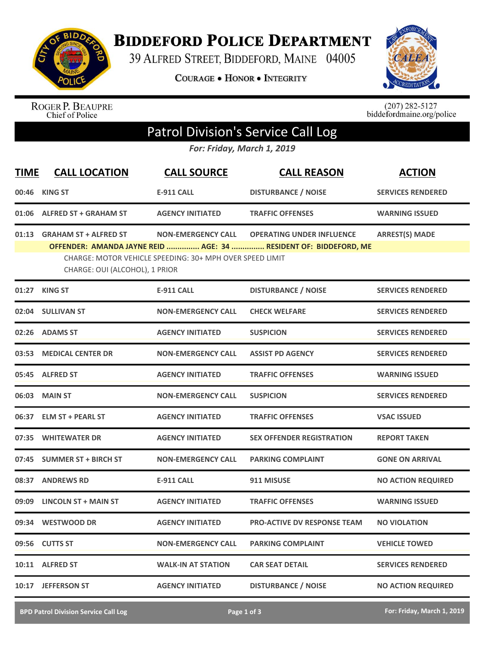

**BIDDEFORD POLICE DEPARTMENT** 

39 ALFRED STREET, BIDDEFORD, MAINE 04005

COURAGE . HONOR . INTEGRITY



ROGER P. BEAUPRE<br>Chief of Police

 $(207)$  282-5127<br>biddefordmaine.org/police

## Patrol Division's Service Call Log

*For: Friday, March 1, 2019*

| <b>TIME</b> | <b>CALL LOCATION</b>                                                                                                                                                                                                                                                                    | <b>CALL SOURCE</b>        | <b>CALL REASON</b>                 | <b>ACTION</b>             |  |  |
|-------------|-----------------------------------------------------------------------------------------------------------------------------------------------------------------------------------------------------------------------------------------------------------------------------------------|---------------------------|------------------------------------|---------------------------|--|--|
| 00:46       | <b>KING ST</b>                                                                                                                                                                                                                                                                          | <b>E-911 CALL</b>         | <b>DISTURBANCE / NOISE</b>         | <b>SERVICES RENDERED</b>  |  |  |
|             | 01:06 ALFRED ST + GRAHAM ST                                                                                                                                                                                                                                                             | <b>AGENCY INITIATED</b>   | <b>TRAFFIC OFFENSES</b>            | <b>WARNING ISSUED</b>     |  |  |
|             | 01:13 GRAHAM ST + ALFRED ST<br><b>OPERATING UNDER INFLUENCE</b><br><b>ARREST(S) MADE</b><br><b>NON-EMERGENCY CALL</b><br>OFFENDER: AMANDA JAYNE REID  AGE: 34  RESIDENT OF: BIDDEFORD, ME<br>CHARGE: MOTOR VEHICLE SPEEDING: 30+ MPH OVER SPEED LIMIT<br>CHARGE: OUI (ALCOHOL), 1 PRIOR |                           |                                    |                           |  |  |
|             | 01:27 KING ST                                                                                                                                                                                                                                                                           | <b>E-911 CALL</b>         | <b>DISTURBANCE / NOISE</b>         | <b>SERVICES RENDERED</b>  |  |  |
|             | 02:04 SULLIVAN ST                                                                                                                                                                                                                                                                       | <b>NON-EMERGENCY CALL</b> | <b>CHECK WELFARE</b>               | <b>SERVICES RENDERED</b>  |  |  |
|             | 02:26 ADAMS ST                                                                                                                                                                                                                                                                          | <b>AGENCY INITIATED</b>   | <b>SUSPICION</b>                   | <b>SERVICES RENDERED</b>  |  |  |
| 03:53       | <b>MEDICAL CENTER DR</b>                                                                                                                                                                                                                                                                | <b>NON-EMERGENCY CALL</b> | <b>ASSIST PD AGENCY</b>            | <b>SERVICES RENDERED</b>  |  |  |
|             | 05:45 ALFRED ST                                                                                                                                                                                                                                                                         | <b>AGENCY INITIATED</b>   | <b>TRAFFIC OFFENSES</b>            | <b>WARNING ISSUED</b>     |  |  |
| 06:03       | <b>MAIN ST</b>                                                                                                                                                                                                                                                                          | <b>NON-EMERGENCY CALL</b> | <b>SUSPICION</b>                   | <b>SERVICES RENDERED</b>  |  |  |
|             | 06:37 ELM ST + PEARL ST                                                                                                                                                                                                                                                                 | <b>AGENCY INITIATED</b>   | <b>TRAFFIC OFFENSES</b>            | <b>VSAC ISSUED</b>        |  |  |
|             | 07:35 WHITEWATER DR                                                                                                                                                                                                                                                                     | <b>AGENCY INITIATED</b>   | <b>SEX OFFENDER REGISTRATION</b>   | <b>REPORT TAKEN</b>       |  |  |
|             | 07:45 SUMMER ST + BIRCH ST                                                                                                                                                                                                                                                              | <b>NON-EMERGENCY CALL</b> | <b>PARKING COMPLAINT</b>           | <b>GONE ON ARRIVAL</b>    |  |  |
| 08:37       | <b>ANDREWS RD</b>                                                                                                                                                                                                                                                                       | <b>E-911 CALL</b>         | 911 MISUSE                         | <b>NO ACTION REQUIRED</b> |  |  |
| 09:09       | <b>LINCOLN ST + MAIN ST</b>                                                                                                                                                                                                                                                             | <b>AGENCY INITIATED</b>   | <b>TRAFFIC OFFENSES</b>            | <b>WARNING ISSUED</b>     |  |  |
|             | 09:34 WESTWOOD DR                                                                                                                                                                                                                                                                       | <b>AGENCY INITIATED</b>   | <b>PRO-ACTIVE DV RESPONSE TEAM</b> | <b>NO VIOLATION</b>       |  |  |
| 09:56       | <b>CUTTS ST</b>                                                                                                                                                                                                                                                                         | <b>NON-EMERGENCY CALL</b> | <b>PARKING COMPLAINT</b>           | <b>VEHICLE TOWED</b>      |  |  |
| 10:11       | <b>ALFRED ST</b>                                                                                                                                                                                                                                                                        | <b>WALK-IN AT STATION</b> | <b>CAR SEAT DETAIL</b>             | <b>SERVICES RENDERED</b>  |  |  |
| 10:17       | <b>JEFFERSON ST</b>                                                                                                                                                                                                                                                                     | <b>AGENCY INITIATED</b>   | <b>DISTURBANCE / NOISE</b>         | <b>NO ACTION REQUIRED</b> |  |  |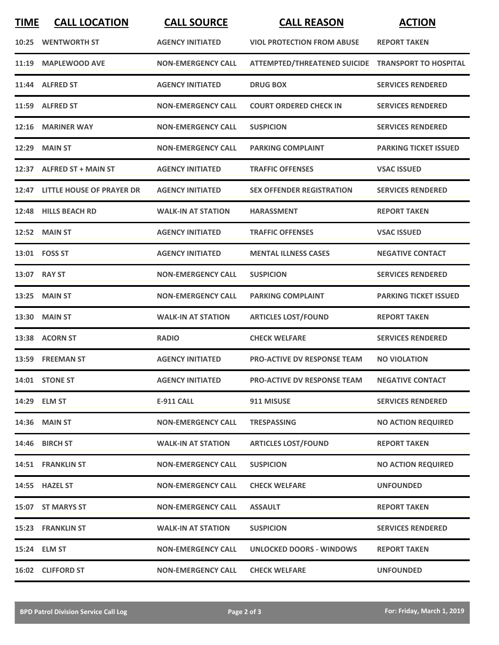| <b>TIME</b> | <b>CALL LOCATION</b>            | <b>CALL SOURCE</b>        | <b>CALL REASON</b>                                 | <b>ACTION</b>                |
|-------------|---------------------------------|---------------------------|----------------------------------------------------|------------------------------|
|             | 10:25 WENTWORTH ST              | <b>AGENCY INITIATED</b>   | <b>VIOL PROTECTION FROM ABUSE</b>                  | <b>REPORT TAKEN</b>          |
|             | 11:19 MAPLEWOOD AVE             | <b>NON-EMERGENCY CALL</b> | ATTEMPTED/THREATENED SUICIDE TRANSPORT TO HOSPITAL |                              |
| 11:44       | <b>ALFRED ST</b>                | <b>AGENCY INITIATED</b>   | <b>DRUG BOX</b>                                    | <b>SERVICES RENDERED</b>     |
|             | 11:59 ALFRED ST                 | <b>NON-EMERGENCY CALL</b> | <b>COURT ORDERED CHECK IN</b>                      | <b>SERVICES RENDERED</b>     |
|             | 12:16 MARINER WAY               | <b>NON-EMERGENCY CALL</b> | <b>SUSPICION</b>                                   | <b>SERVICES RENDERED</b>     |
|             | <b>12:29 MAIN ST</b>            | <b>NON-EMERGENCY CALL</b> | <b>PARKING COMPLAINT</b>                           | <b>PARKING TICKET ISSUED</b> |
|             | 12:37 ALFRED ST + MAIN ST       | <b>AGENCY INITIATED</b>   | <b>TRAFFIC OFFENSES</b>                            | <b>VSAC ISSUED</b>           |
|             | 12:47 LITTLE HOUSE OF PRAYER DR | <b>AGENCY INITIATED</b>   | <b>SEX OFFENDER REGISTRATION</b>                   | <b>SERVICES RENDERED</b>     |
| 12:48       | <b>HILLS BEACH RD</b>           | <b>WALK-IN AT STATION</b> | <b>HARASSMENT</b>                                  | <b>REPORT TAKEN</b>          |
|             | <b>12:52 MAIN ST</b>            | <b>AGENCY INITIATED</b>   | <b>TRAFFIC OFFENSES</b>                            | <b>VSAC ISSUED</b>           |
|             | 13:01  FOSS ST                  | <b>AGENCY INITIATED</b>   | <b>MENTAL ILLNESS CASES</b>                        | <b>NEGATIVE CONTACT</b>      |
|             | 13:07 RAY ST                    | <b>NON-EMERGENCY CALL</b> | <b>SUSPICION</b>                                   | <b>SERVICES RENDERED</b>     |
| 13:25       | <b>MAIN ST</b>                  | <b>NON-EMERGENCY CALL</b> | <b>PARKING COMPLAINT</b>                           | <b>PARKING TICKET ISSUED</b> |
| 13:30       | <b>MAIN ST</b>                  | <b>WALK-IN AT STATION</b> | <b>ARTICLES LOST/FOUND</b>                         | <b>REPORT TAKEN</b>          |
|             | 13:38 ACORN ST                  | <b>RADIO</b>              | <b>CHECK WELFARE</b>                               | <b>SERVICES RENDERED</b>     |
|             | 13:59 FREEMAN ST                | <b>AGENCY INITIATED</b>   | <b>PRO-ACTIVE DV RESPONSE TEAM</b>                 | <b>NO VIOLATION</b>          |
|             | 14:01 STONE ST                  | <b>AGENCY INITIATED</b>   | PRO-ACTIVE DV RESPONSE TEAM                        | <b>NEGATIVE CONTACT</b>      |
|             | 14:29 ELM ST                    | <b>E-911 CALL</b>         | 911 MISUSE                                         | <b>SERVICES RENDERED</b>     |
|             | 14:36 MAIN ST                   | <b>NON-EMERGENCY CALL</b> | <b>TRESPASSING</b>                                 | <b>NO ACTION REQUIRED</b>    |
|             | 14:46 BIRCH ST                  | <b>WALK-IN AT STATION</b> | <b>ARTICLES LOST/FOUND</b>                         | <b>REPORT TAKEN</b>          |
|             | 14:51 FRANKLIN ST               | <b>NON-EMERGENCY CALL</b> | <b>SUSPICION</b>                                   | <b>NO ACTION REQUIRED</b>    |
|             | 14:55 HAZEL ST                  | <b>NON-EMERGENCY CALL</b> | <b>CHECK WELFARE</b>                               | <b>UNFOUNDED</b>             |
|             | 15:07 ST MARYS ST               | <b>NON-EMERGENCY CALL</b> | <b>ASSAULT</b>                                     | <b>REPORT TAKEN</b>          |
|             | 15:23 FRANKLIN ST               | <b>WALK-IN AT STATION</b> | <b>SUSPICION</b>                                   | <b>SERVICES RENDERED</b>     |
|             | 15:24 ELM ST                    | <b>NON-EMERGENCY CALL</b> | <b>UNLOCKED DOORS - WINDOWS</b>                    | <b>REPORT TAKEN</b>          |
|             | 16:02 CLIFFORD ST               | <b>NON-EMERGENCY CALL</b> | <b>CHECK WELFARE</b>                               | <b>UNFOUNDED</b>             |